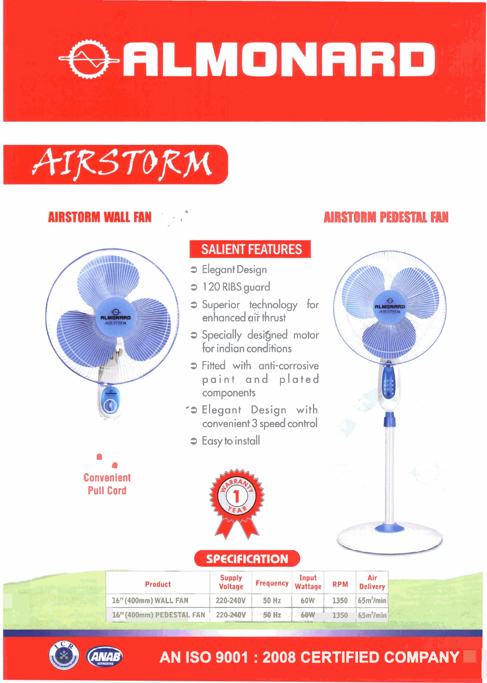# GALMONARD

## AIRSTORM

#### **AIRSTORM WALL FANDERS**

*8*  **Convenient Pull Cord** 

#### **SALIENT FEATURES**

- **3** Elegant Design
- **3** 1 20 RIBS guard
- **3** Superior technology for enhanced air̀ thrust
- **3** Specially designed motor for indian conditions
- **3** Fitted with anti-corrosive paint and plated components
- **-3** Elegant Design with convenient **3** speed control
- **3** Easy to install

#### **AIRSTORM PEDESTAL FAW**



#### **SPECIFICATION 7**

| Product                           | <b>Supply</b><br><b>Voltage</b> | <b>Frequency</b> | Input<br>Wattage | <b>RPM</b>  | Air<br><b>Delivery</b> |
|-----------------------------------|---------------------------------|------------------|------------------|-------------|------------------------|
| 16" (400mm) WALL FAN              | 220-240V                        | <b>50 Hz</b>     | 60W              | 1350        | 65 <sup>3</sup> /min   |
| 16" (400mm) PEDESTAL FAN 220-240V |                                 | <b>SO Hz 60W</b> |                  | <b>1350</b> | $-65m3/min3$           |



### **AN ISO 9001 : 2008 CERTIFIED COMPANY III**